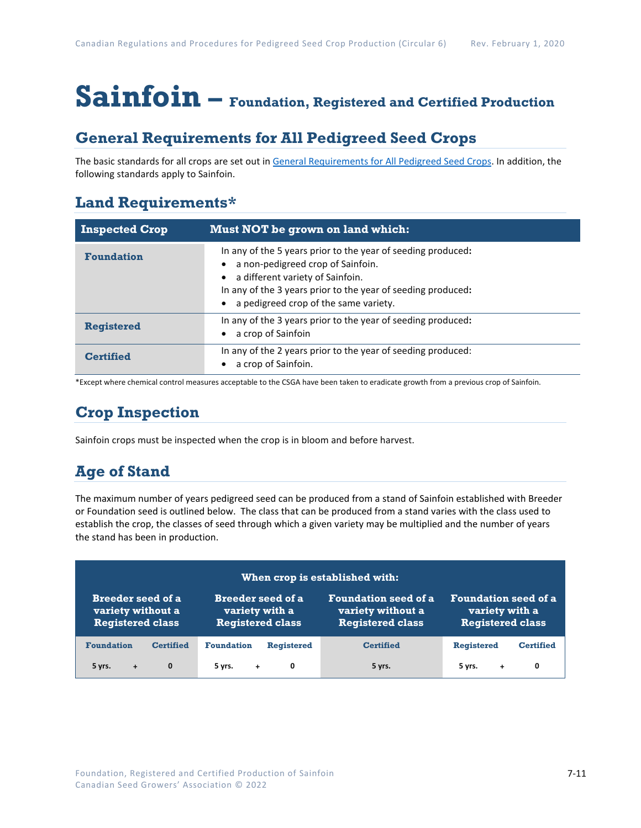# **Sainfoin – Foundation, Registered and Certified Production**

## **General Requirements for All Pedigreed Seed Crops**

The basic standards for all crops are set out i[n General Requirements for All Pedigreed Seed](https://seedgrowers.ca/wp-content/uploads/2020/01/GENERAL-REQUIREMENTS-ALL-CROPS_EN.pdf) Crops. In addition, the following standards apply to Sainfoin.

## **Land Requirements\***

| <b>Inspected Crop</b> | Must NOT be grown on land which:                                                                                                                                                                                                               |
|-----------------------|------------------------------------------------------------------------------------------------------------------------------------------------------------------------------------------------------------------------------------------------|
| <b>Foundation</b>     | In any of the 5 years prior to the year of seeding produced:<br>a non-pedigreed crop of Sainfoin.<br>a different variety of Sainfoin.<br>In any of the 3 years prior to the year of seeding produced:<br>a pedigreed crop of the same variety. |
| <b>Registered</b>     | In any of the 3 years prior to the year of seeding produced:<br>a crop of Sainfoin                                                                                                                                                             |
| <b>Certified</b>      | In any of the 2 years prior to the year of seeding produced:<br>a crop of Sainfoin.                                                                                                                                                            |

\*Except where chemical control measures acceptable to the CSGA have been taken to eradicate growth from a previous crop of Sainfoin.

## **Crop Inspection**

Sainfoin crops must be inspected when the crop is in bloom and before harvest.

## **Age of Stand**

The maximum number of years pedigreed seed can be produced from a stand of Sainfoin established with Breeder or Foundation seed is outlined below. The class that can be produced from a stand varies with the class used to establish the crop, the classes of seed through which a given variety may be multiplied and the number of years the stand has been in production.

| When crop is established with: |                           |                             |                             |  |  |
|--------------------------------|---------------------------|-----------------------------|-----------------------------|--|--|
| <b>Breeder seed of a</b>       | <b>Breeder seed of a</b>  | <b>Foundation seed of a</b> | <b>Foundation seed of a</b> |  |  |
| variety without a              | variety with a            | variety without a           | variety with a              |  |  |
| <b>Registered class</b>        | <b>Registered class</b>   | <b>Registered class</b>     | <b>Registered class</b>     |  |  |
| <b>Foundation</b>              | <b>Foundation</b>         | <b>Certified</b>            | <b>Registered</b>           |  |  |
| <b>Certified</b>               | <b>Registered</b>         |                             | <b>Certified</b>            |  |  |
| 5 yrs.<br>$\mathbf{0}$<br>$+$  | 0<br>$5 \, \text{vrs.}$ + | 5 yrs.                      | 0<br>5 yrs.<br>$+$          |  |  |